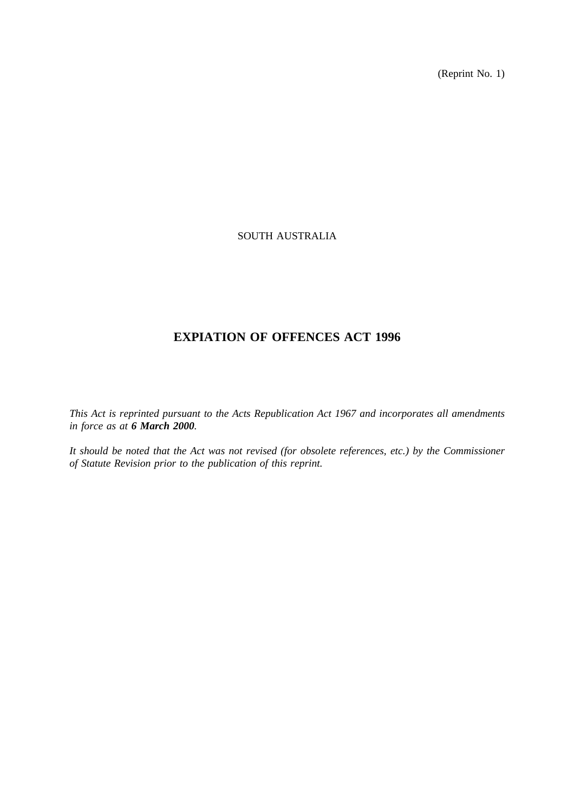(Reprint No. 1)

## SOUTH AUSTRALIA

## **EXPIATION OF OFFENCES ACT 1996**

*This Act is reprinted pursuant to the Acts Republication Act 1967 and incorporates all amendments in force as at 6 March 2000.*

*It should be noted that the Act was not revised (for obsolete references, etc.) by the Commissioner of Statute Revision prior to the publication of this reprint.*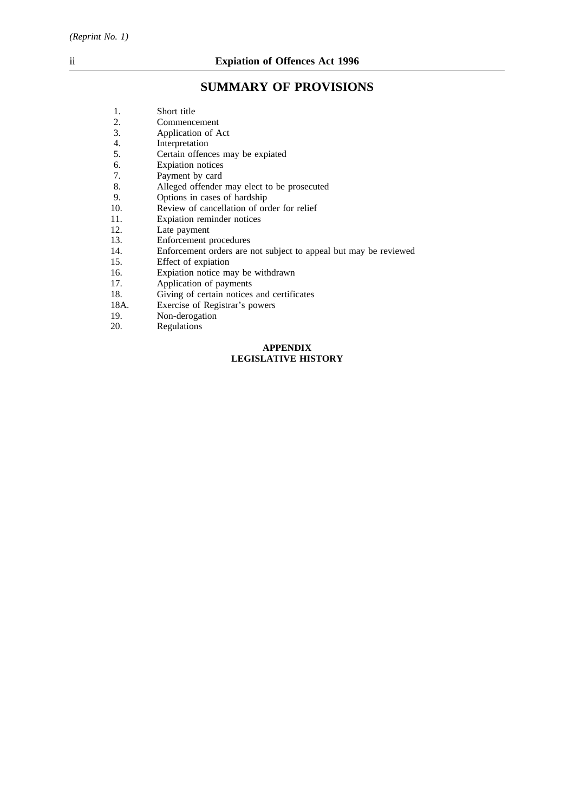# **SUMMARY OF PROVISIONS**

**LEGISLATIVE HISTORY**

|      | <b>APPENDIX</b>                                                  |
|------|------------------------------------------------------------------|
| 20.  | Regulations                                                      |
| 19.  | Non-derogation                                                   |
| 18A. | Exercise of Registrar's powers                                   |
| 18.  | Giving of certain notices and certificates                       |
| 17.  | Application of payments                                          |
| 16.  | Expiation notice may be withdrawn                                |
| 15.  | Effect of expiation                                              |
| 14.  | Enforcement orders are not subject to appeal but may be reviewed |
| 13.  | Enforcement procedures                                           |
| 12.  | Late payment                                                     |
| 11.  | Expiation reminder notices                                       |
| 10.  | Review of cancellation of order for relief                       |
| 9.   | Options in cases of hardship                                     |
| 8.   | Alleged offender may elect to be prosecuted                      |
| 7.   | Payment by card                                                  |
| 6.   | <b>Expiation</b> notices                                         |
| 5.   | Certain offences may be expiated                                 |
| 4.   | Interpretation                                                   |
| 3.   | Application of Act                                               |
| 2.   | Commencement                                                     |
| 1.   | Short title                                                      |
|      |                                                                  |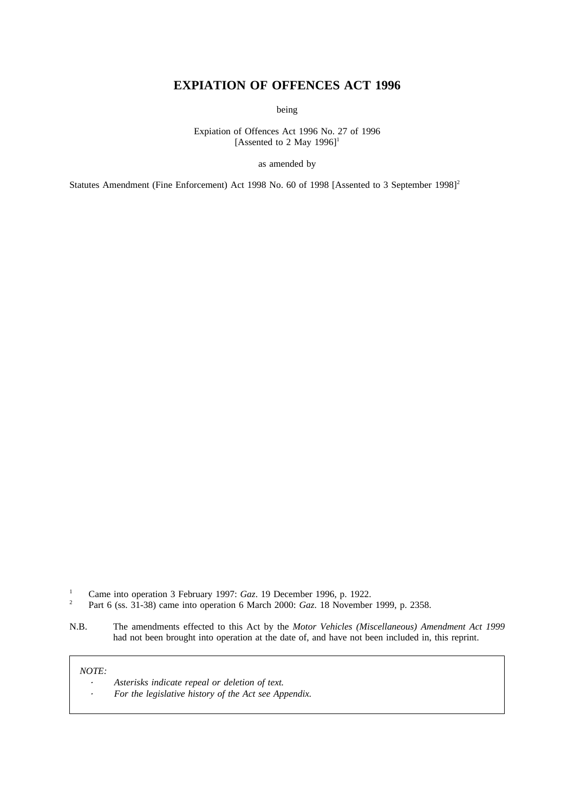## **EXPIATION OF OFFENCES ACT 1996**

being

Expiation of Offences Act 1996 No. 27 of 1996 [Assented to 2 May  $1996$ ]<sup>1</sup>

as amended by

Statutes Amendment (Fine Enforcement) Act 1998 No. 60 of 1998 [Assented to 3 September 1998]<sup>2</sup>

- <sup>1</sup> Came into operation 3 February 1997: *Gaz*. 19 December 1996, p. 1922.<br><sup>2</sup> Part 6 (ss. 31-38) came into operation 6 March 2000: *Gaz*. 18 November
- <sup>2</sup> Part 6 (ss. 31-38) came into operation 6 March 2000: *Gaz*. 18 November 1999, p. 2358.
- N.B. The amendments effected to this Act by the *Motor Vehicles (Miscellaneous) Amendment Act 1999* had not been brought into operation at the date of, and have not been included in, this reprint.

*NOTE:*

*Asterisks indicate repeal or deletion of text. For the legislative history of the Act see Appendix.*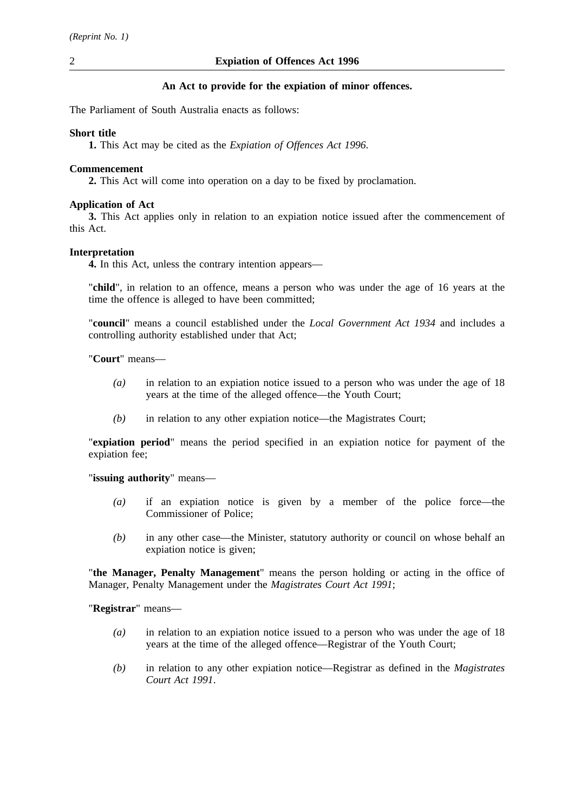## **An Act to provide for the expiation of minor offences.**

The Parliament of South Australia enacts as follows:

## **Short title**

**1.** This Act may be cited as the *Expiation of Offences Act 1996*.

## **Commencement**

**2.** This Act will come into operation on a day to be fixed by proclamation.

## **Application of Act**

**3.** This Act applies only in relation to an expiation notice issued after the commencement of this Act.

## **Interpretation**

**4.** In this Act, unless the contrary intention appears—

"**child**", in relation to an offence, means a person who was under the age of 16 years at the time the offence is alleged to have been committed;

"**council**" means a council established under the *Local Government Act 1934* and includes a controlling authority established under that Act;

"**Court**" means—

- *(a)* in relation to an expiation notice issued to a person who was under the age of 18 years at the time of the alleged offence—the Youth Court;
- *(b)* in relation to any other expiation notice—the Magistrates Court;

"**expiation period**" means the period specified in an expiation notice for payment of the expiation fee;

"**issuing authority**" means—

- *(a)* if an expiation notice is given by a member of the police force—the Commissioner of Police;
- *(b)* in any other case—the Minister, statutory authority or council on whose behalf an expiation notice is given;

"**the Manager, Penalty Management**" means the person holding or acting in the office of Manager, Penalty Management under the *Magistrates Court Act 1991*;

"**Registrar**" means—

- *(a)* in relation to an expiation notice issued to a person who was under the age of 18 years at the time of the alleged offence—Registrar of the Youth Court;
- *(b)* in relation to any other expiation notice—Registrar as defined in the *Magistrates Court Act 1991*.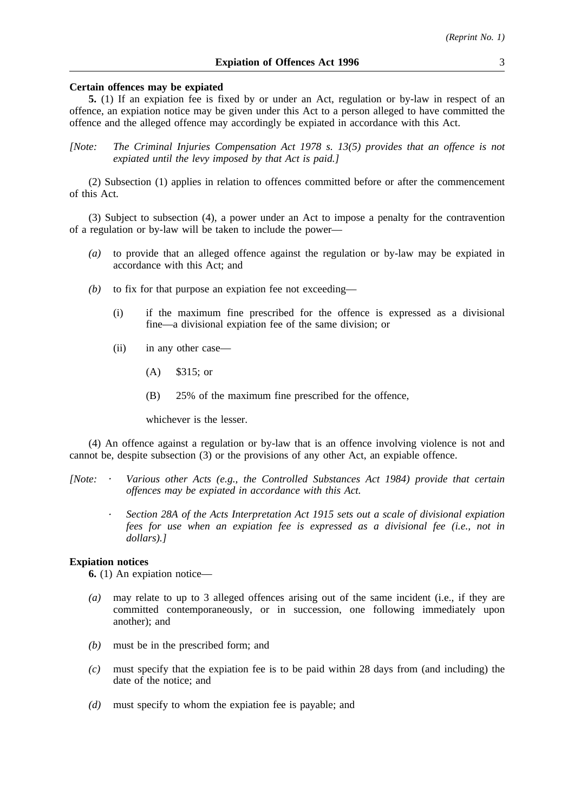#### **Certain offences may be expiated**

**5.** (1) If an expiation fee is fixed by or under an Act, regulation or by-law in respect of an offence, an expiation notice may be given under this Act to a person alleged to have committed the offence and the alleged offence may accordingly be expiated in accordance with this Act.

*[Note: The Criminal Injuries Compensation Act 1978 s. 13(5) provides that an offence is not expiated until the levy imposed by that Act is paid.]*

(2) Subsection (1) applies in relation to offences committed before or after the commencement of this Act.

(3) Subject to subsection (4), a power under an Act to impose a penalty for the contravention of a regulation or by-law will be taken to include the power—

- *(a)* to provide that an alleged offence against the regulation or by-law may be expiated in accordance with this Act; and
- *(b)* to fix for that purpose an expiation fee not exceeding—
	- (i) if the maximum fine prescribed for the offence is expressed as a divisional fine—a divisional expiation fee of the same division; or
	- (ii) in any other case—
		- (A) \$315; or
		- (B) 25% of the maximum fine prescribed for the offence,

whichever is the lesser.

(4) An offence against a regulation or by-law that is an offence involving violence is not and cannot be, despite subsection (3) or the provisions of any other Act, an expiable offence.

- *[Note: Various other Acts (e.g., the Controlled Substances Act 1984) provide that certain offences may be expiated in accordance with this Act.*
	- *Section 28A of the Acts Interpretation Act 1915 sets out a scale of divisional expiation fees for use when an expiation fee is expressed as a divisional fee (i.e., not in dollars).]*

#### **Expiation notices**

**6.** (1) An expiation notice—

- *(a)* may relate to up to 3 alleged offences arising out of the same incident (i.e., if they are committed contemporaneously, or in succession, one following immediately upon another); and
- *(b)* must be in the prescribed form; and
- *(c)* must specify that the expiation fee is to be paid within 28 days from (and including) the date of the notice; and
- *(d)* must specify to whom the expiation fee is payable; and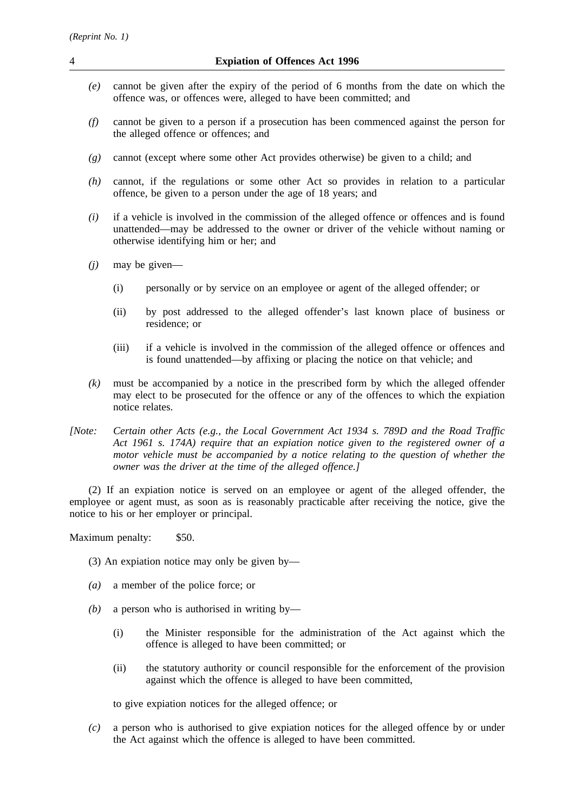- *(e)* cannot be given after the expiry of the period of 6 months from the date on which the offence was, or offences were, alleged to have been committed; and
- *(f)* cannot be given to a person if a prosecution has been commenced against the person for the alleged offence or offences; and
- *(g)* cannot (except where some other Act provides otherwise) be given to a child; and
- *(h)* cannot, if the regulations or some other Act so provides in relation to a particular offence, be given to a person under the age of 18 years; and
- *(i)* if a vehicle is involved in the commission of the alleged offence or offences and is found unattended—may be addressed to the owner or driver of the vehicle without naming or otherwise identifying him or her; and
- *(j)* may be given—
	- (i) personally or by service on an employee or agent of the alleged offender; or
	- (ii) by post addressed to the alleged offender's last known place of business or residence; or
	- (iii) if a vehicle is involved in the commission of the alleged offence or offences and is found unattended—by affixing or placing the notice on that vehicle; and
- *(k)* must be accompanied by a notice in the prescribed form by which the alleged offender may elect to be prosecuted for the offence or any of the offences to which the expiation notice relates.
- *[Note: Certain other Acts (e.g., the Local Government Act 1934 s. 789D and the Road Traffic Act 1961 s. 174A) require that an expiation notice given to the registered owner of a motor vehicle must be accompanied by a notice relating to the question of whether the owner was the driver at the time of the alleged offence.]*

(2) If an expiation notice is served on an employee or agent of the alleged offender, the employee or agent must, as soon as is reasonably practicable after receiving the notice, give the notice to his or her employer or principal.

Maximum penalty: \$50.

- (3) An expiation notice may only be given by—
- *(a)* a member of the police force; or
- *(b)* a person who is authorised in writing by—
	- (i) the Minister responsible for the administration of the Act against which the offence is alleged to have been committed; or
	- (ii) the statutory authority or council responsible for the enforcement of the provision against which the offence is alleged to have been committed,

to give expiation notices for the alleged offence; or

*(c)* a person who is authorised to give expiation notices for the alleged offence by or under the Act against which the offence is alleged to have been committed.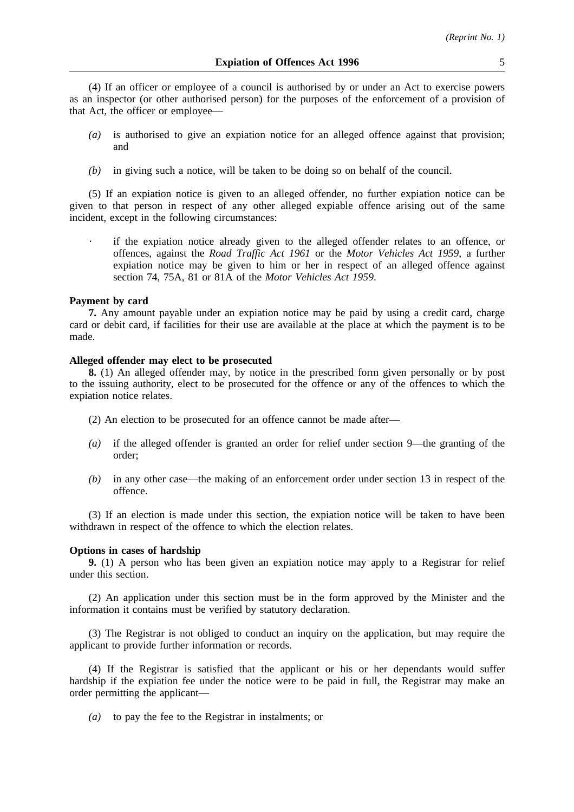(4) If an officer or employee of a council is authorised by or under an Act to exercise powers as an inspector (or other authorised person) for the purposes of the enforcement of a provision of that Act, the officer or employee—

- *(a)* is authorised to give an expiation notice for an alleged offence against that provision; and
- *(b)* in giving such a notice, will be taken to be doing so on behalf of the council.

(5) If an expiation notice is given to an alleged offender, no further expiation notice can be given to that person in respect of any other alleged expiable offence arising out of the same incident, except in the following circumstances:

if the expiation notice already given to the alleged offender relates to an offence, or offences, against the *Road Traffic Act 1961* or the *Motor Vehicles Act 1959*, a further expiation notice may be given to him or her in respect of an alleged offence against section 74, 75A, 81 or 81A of the *Motor Vehicles Act 1959*.

#### **Payment by card**

**7.** Any amount payable under an expiation notice may be paid by using a credit card, charge card or debit card, if facilities for their use are available at the place at which the payment is to be made.

#### **Alleged offender may elect to be prosecuted**

**8.** (1) An alleged offender may, by notice in the prescribed form given personally or by post to the issuing authority, elect to be prosecuted for the offence or any of the offences to which the expiation notice relates.

- (2) An election to be prosecuted for an offence cannot be made after—
- *(a)* if the alleged offender is granted an order for relief under section 9—the granting of the order;
- *(b)* in any other case—the making of an enforcement order under section 13 in respect of the offence.

(3) If an election is made under this section, the expiation notice will be taken to have been withdrawn in respect of the offence to which the election relates.

#### **Options in cases of hardship**

**9.** (1) A person who has been given an expiation notice may apply to a Registrar for relief under this section.

(2) An application under this section must be in the form approved by the Minister and the information it contains must be verified by statutory declaration.

(3) The Registrar is not obliged to conduct an inquiry on the application, but may require the applicant to provide further information or records.

(4) If the Registrar is satisfied that the applicant or his or her dependants would suffer hardship if the expiation fee under the notice were to be paid in full, the Registrar may make an order permitting the applicant—

*(a)* to pay the fee to the Registrar in instalments; or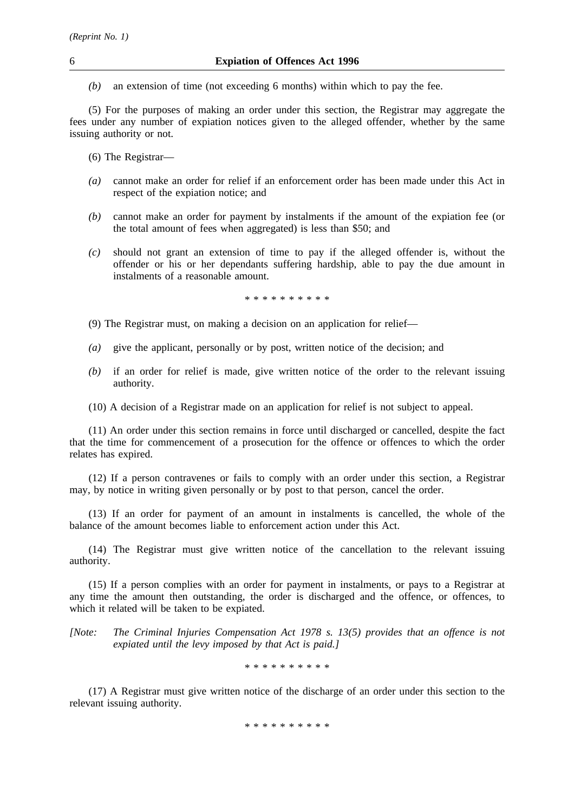*(b)* an extension of time (not exceeding 6 months) within which to pay the fee.

(5) For the purposes of making an order under this section, the Registrar may aggregate the fees under any number of expiation notices given to the alleged offender, whether by the same issuing authority or not.

- (6) The Registrar—
- *(a)* cannot make an order for relief if an enforcement order has been made under this Act in respect of the expiation notice; and
- *(b)* cannot make an order for payment by instalments if the amount of the expiation fee (or the total amount of fees when aggregated) is less than \$50; and
- *(c)* should not grant an extension of time to pay if the alleged offender is, without the offender or his or her dependants suffering hardship, able to pay the due amount in instalments of a reasonable amount.

\*\*\*\*\*\*\*\*\*\*

- (9) The Registrar must, on making a decision on an application for relief—
- *(a)* give the applicant, personally or by post, written notice of the decision; and
- *(b)* if an order for relief is made, give written notice of the order to the relevant issuing authority.
- (10) A decision of a Registrar made on an application for relief is not subject to appeal.

(11) An order under this section remains in force until discharged or cancelled, despite the fact that the time for commencement of a prosecution for the offence or offences to which the order relates has expired.

(12) If a person contravenes or fails to comply with an order under this section, a Registrar may, by notice in writing given personally or by post to that person, cancel the order.

(13) If an order for payment of an amount in instalments is cancelled, the whole of the balance of the amount becomes liable to enforcement action under this Act.

(14) The Registrar must give written notice of the cancellation to the relevant issuing authority.

(15) If a person complies with an order for payment in instalments, or pays to a Registrar at any time the amount then outstanding, the order is discharged and the offence, or offences, to which it related will be taken to be expiated.

*[Note: The Criminal Injuries Compensation Act 1978 s. 13(5) provides that an offence is not expiated until the levy imposed by that Act is paid.]*

\*\*\*\*\*\*\*\*\*\*

(17) A Registrar must give written notice of the discharge of an order under this section to the relevant issuing authority.

\*\*\*\*\*\*\*\*\*\*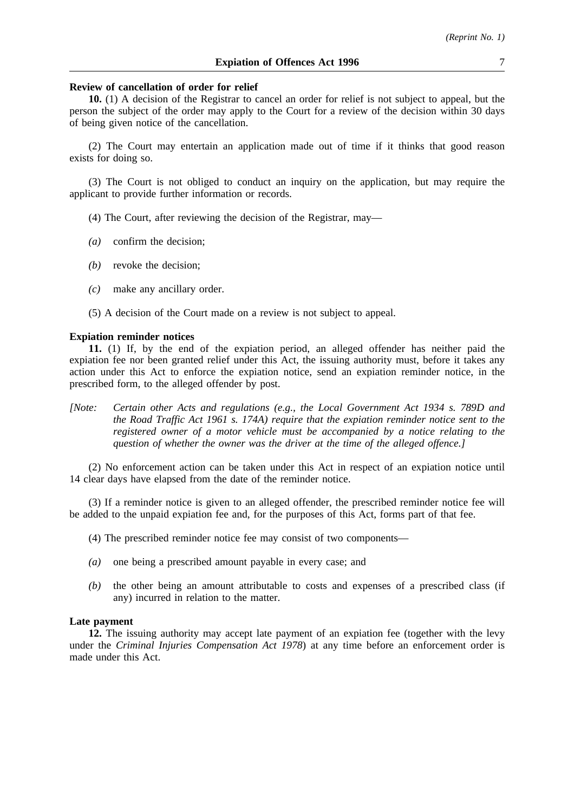#### **Review of cancellation of order for relief**

**10.** (1) A decision of the Registrar to cancel an order for relief is not subject to appeal, but the person the subject of the order may apply to the Court for a review of the decision within 30 days of being given notice of the cancellation.

(2) The Court may entertain an application made out of time if it thinks that good reason exists for doing so.

(3) The Court is not obliged to conduct an inquiry on the application, but may require the applicant to provide further information or records.

- (4) The Court, after reviewing the decision of the Registrar, may—
- *(a)* confirm the decision;
- *(b)* revoke the decision;
- *(c)* make any ancillary order.
- (5) A decision of the Court made on a review is not subject to appeal.

#### **Expiation reminder notices**

**11.** (1) If, by the end of the expiation period, an alleged offender has neither paid the expiation fee nor been granted relief under this Act, the issuing authority must, before it takes any action under this Act to enforce the expiation notice, send an expiation reminder notice, in the prescribed form, to the alleged offender by post.

*[Note: Certain other Acts and regulations (e.g., the Local Government Act 1934 s. 789D and the Road Traffic Act 1961 s. 174A) require that the expiation reminder notice sent to the registered owner of a motor vehicle must be accompanied by a notice relating to the question of whether the owner was the driver at the time of the alleged offence.]*

(2) No enforcement action can be taken under this Act in respect of an expiation notice until 14 clear days have elapsed from the date of the reminder notice.

(3) If a reminder notice is given to an alleged offender, the prescribed reminder notice fee will be added to the unpaid expiation fee and, for the purposes of this Act, forms part of that fee.

- (4) The prescribed reminder notice fee may consist of two components—
- *(a)* one being a prescribed amount payable in every case; and
- *(b)* the other being an amount attributable to costs and expenses of a prescribed class (if any) incurred in relation to the matter.

#### **Late payment**

**12.** The issuing authority may accept late payment of an expiation fee (together with the levy under the *Criminal Injuries Compensation Act 1978*) at any time before an enforcement order is made under this Act.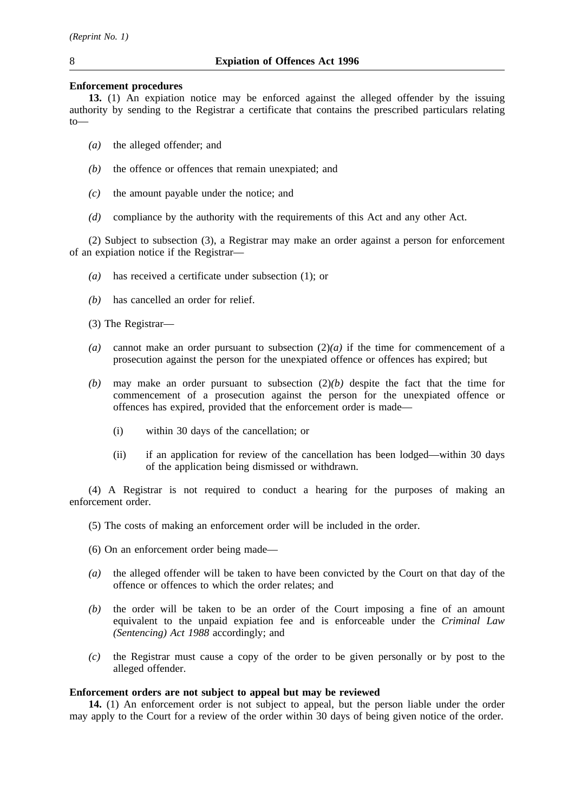### **Enforcement procedures**

**13.** (1) An expiation notice may be enforced against the alleged offender by the issuing authority by sending to the Registrar a certificate that contains the prescribed particulars relating to—

- *(a)* the alleged offender; and
- *(b)* the offence or offences that remain unexpiated; and
- *(c)* the amount payable under the notice; and
- *(d)* compliance by the authority with the requirements of this Act and any other Act.

(2) Subject to subsection (3), a Registrar may make an order against a person for enforcement of an expiation notice if the Registrar—

- *(a)* has received a certificate under subsection (1); or
- *(b)* has cancelled an order for relief.

(3) The Registrar—

- *(a)* cannot make an order pursuant to subsection (2)*(a)* if the time for commencement of a prosecution against the person for the unexpiated offence or offences has expired; but
- *(b)* may make an order pursuant to subsection (2)*(b)* despite the fact that the time for commencement of a prosecution against the person for the unexpiated offence or offences has expired, provided that the enforcement order is made—
	- (i) within 30 days of the cancellation; or
	- (ii) if an application for review of the cancellation has been lodged—within 30 days of the application being dismissed or withdrawn.

(4) A Registrar is not required to conduct a hearing for the purposes of making an enforcement order.

- (5) The costs of making an enforcement order will be included in the order.
- (6) On an enforcement order being made—
- *(a)* the alleged offender will be taken to have been convicted by the Court on that day of the offence or offences to which the order relates; and
- *(b)* the order will be taken to be an order of the Court imposing a fine of an amount equivalent to the unpaid expiation fee and is enforceable under the *Criminal Law (Sentencing) Act 1988* accordingly; and
- *(c)* the Registrar must cause a copy of the order to be given personally or by post to the alleged offender.

### **Enforcement orders are not subject to appeal but may be reviewed**

**14.** (1) An enforcement order is not subject to appeal, but the person liable under the order may apply to the Court for a review of the order within 30 days of being given notice of the order.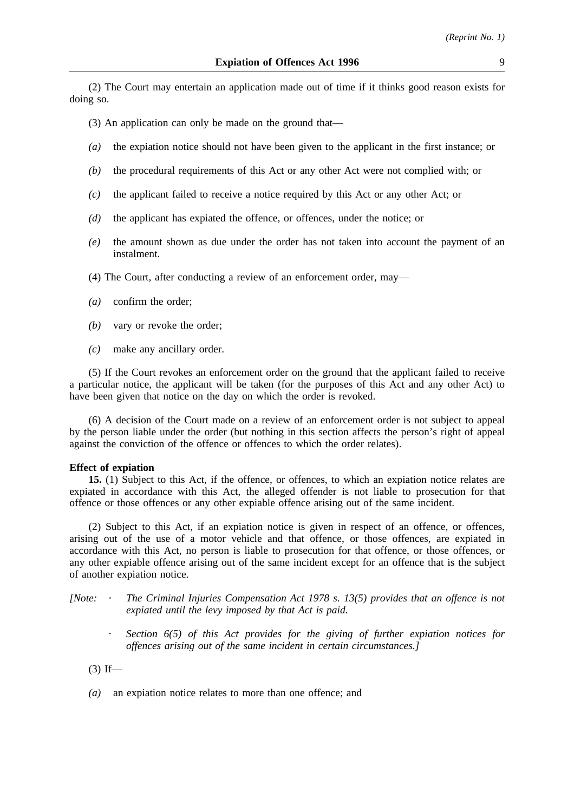(2) The Court may entertain an application made out of time if it thinks good reason exists for doing so.

(3) An application can only be made on the ground that—

- *(a)* the expiation notice should not have been given to the applicant in the first instance; or
- *(b)* the procedural requirements of this Act or any other Act were not complied with; or
- *(c)* the applicant failed to receive a notice required by this Act or any other Act; or
- *(d)* the applicant has expiated the offence, or offences, under the notice; or
- *(e)* the amount shown as due under the order has not taken into account the payment of an instalment.
- (4) The Court, after conducting a review of an enforcement order, may—
- *(a)* confirm the order;
- *(b)* vary or revoke the order;
- *(c)* make any ancillary order.

(5) If the Court revokes an enforcement order on the ground that the applicant failed to receive a particular notice, the applicant will be taken (for the purposes of this Act and any other Act) to have been given that notice on the day on which the order is revoked.

(6) A decision of the Court made on a review of an enforcement order is not subject to appeal by the person liable under the order (but nothing in this section affects the person's right of appeal against the conviction of the offence or offences to which the order relates).

#### **Effect of expiation**

**15.** (1) Subject to this Act, if the offence, or offences, to which an expiation notice relates are expiated in accordance with this Act, the alleged offender is not liable to prosecution for that offence or those offences or any other expiable offence arising out of the same incident.

(2) Subject to this Act, if an expiation notice is given in respect of an offence, or offences, arising out of the use of a motor vehicle and that offence, or those offences, are expiated in accordance with this Act, no person is liable to prosecution for that offence, or those offences, or any other expiable offence arising out of the same incident except for an offence that is the subject of another expiation notice.

- *[Note: The Criminal Injuries Compensation Act 1978 s. 13(5) provides that an offence is not expiated until the levy imposed by that Act is paid.*
	- *Section 6(5) of this Act provides for the giving of further expiation notices for offences arising out of the same incident in certain circumstances.]*

 $(3)$  If—

*(a)* an expiation notice relates to more than one offence; and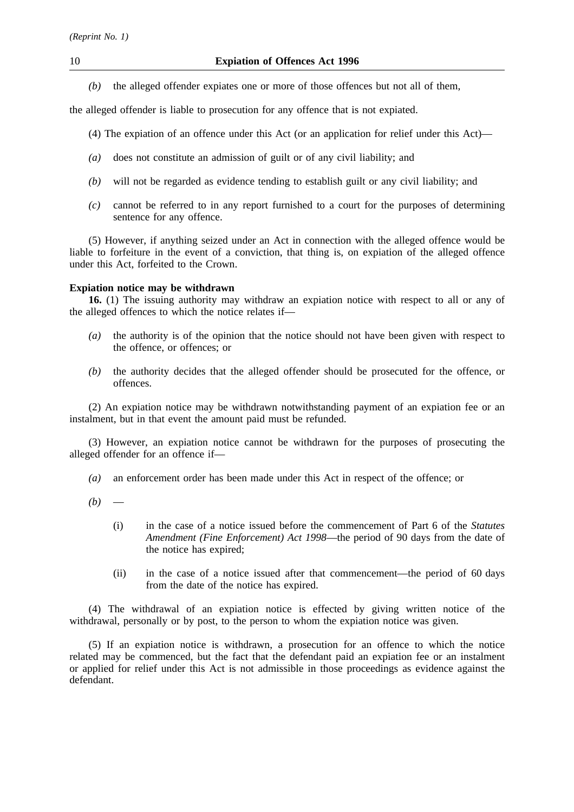*(b)* the alleged offender expiates one or more of those offences but not all of them,

the alleged offender is liable to prosecution for any offence that is not expiated.

- (4) The expiation of an offence under this Act (or an application for relief under this Act)—
- *(a)* does not constitute an admission of guilt or of any civil liability; and
- *(b)* will not be regarded as evidence tending to establish guilt or any civil liability; and
- *(c)* cannot be referred to in any report furnished to a court for the purposes of determining sentence for any offence.

(5) However, if anything seized under an Act in connection with the alleged offence would be liable to forfeiture in the event of a conviction, that thing is, on expiation of the alleged offence under this Act, forfeited to the Crown.

## **Expiation notice may be withdrawn**

**16.** (1) The issuing authority may withdraw an expiation notice with respect to all or any of the alleged offences to which the notice relates if—

- *(a)* the authority is of the opinion that the notice should not have been given with respect to the offence, or offences; or
- *(b)* the authority decides that the alleged offender should be prosecuted for the offence, or offences.

(2) An expiation notice may be withdrawn notwithstanding payment of an expiation fee or an instalment, but in that event the amount paid must be refunded.

(3) However, an expiation notice cannot be withdrawn for the purposes of prosecuting the alleged offender for an offence if—

- *(a)* an enforcement order has been made under this Act in respect of the offence; or
- $(b)$ 
	- (i) in the case of a notice issued before the commencement of Part 6 of the *Statutes Amendment (Fine Enforcement) Act 1998*—the period of 90 days from the date of the notice has expired;
	- (ii) in the case of a notice issued after that commencement—the period of 60 days from the date of the notice has expired.

(4) The withdrawal of an expiation notice is effected by giving written notice of the withdrawal, personally or by post, to the person to whom the expiation notice was given.

(5) If an expiation notice is withdrawn, a prosecution for an offence to which the notice related may be commenced, but the fact that the defendant paid an expiation fee or an instalment or applied for relief under this Act is not admissible in those proceedings as evidence against the defendant.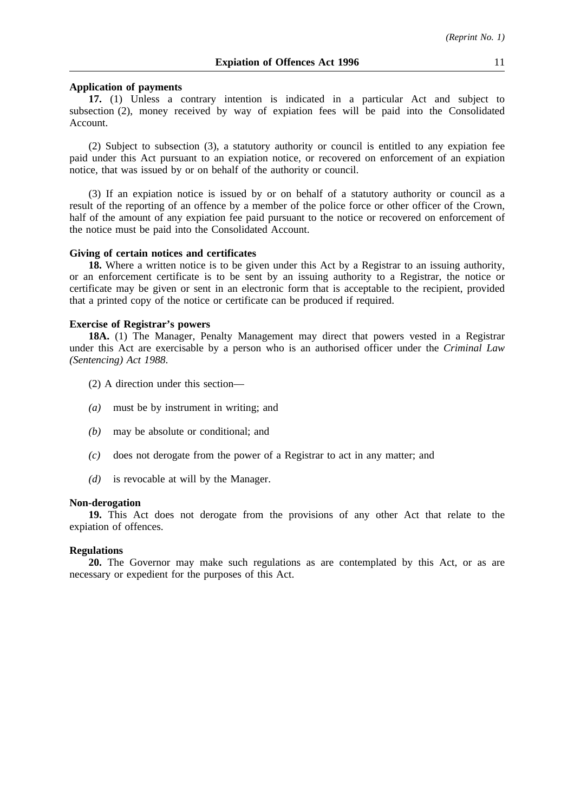#### **Application of payments**

**17.** (1) Unless a contrary intention is indicated in a particular Act and subject to subsection (2), money received by way of expiation fees will be paid into the Consolidated Account.

(2) Subject to subsection (3), a statutory authority or council is entitled to any expiation fee paid under this Act pursuant to an expiation notice, or recovered on enforcement of an expiation notice, that was issued by or on behalf of the authority or council.

(3) If an expiation notice is issued by or on behalf of a statutory authority or council as a result of the reporting of an offence by a member of the police force or other officer of the Crown, half of the amount of any expiation fee paid pursuant to the notice or recovered on enforcement of the notice must be paid into the Consolidated Account.

#### **Giving of certain notices and certificates**

**18.** Where a written notice is to be given under this Act by a Registrar to an issuing authority, or an enforcement certificate is to be sent by an issuing authority to a Registrar, the notice or certificate may be given or sent in an electronic form that is acceptable to the recipient, provided that a printed copy of the notice or certificate can be produced if required.

#### **Exercise of Registrar's powers**

**18A.** (1) The Manager, Penalty Management may direct that powers vested in a Registrar under this Act are exercisable by a person who is an authorised officer under the *Criminal Law (Sentencing) Act 1988*.

- (2) A direction under this section—
- *(a)* must be by instrument in writing; and
- *(b)* may be absolute or conditional; and
- *(c)* does not derogate from the power of a Registrar to act in any matter; and
- *(d)* is revocable at will by the Manager.

#### **Non-derogation**

**19.** This Act does not derogate from the provisions of any other Act that relate to the expiation of offences.

#### **Regulations**

**20.** The Governor may make such regulations as are contemplated by this Act, or as are necessary or expedient for the purposes of this Act.